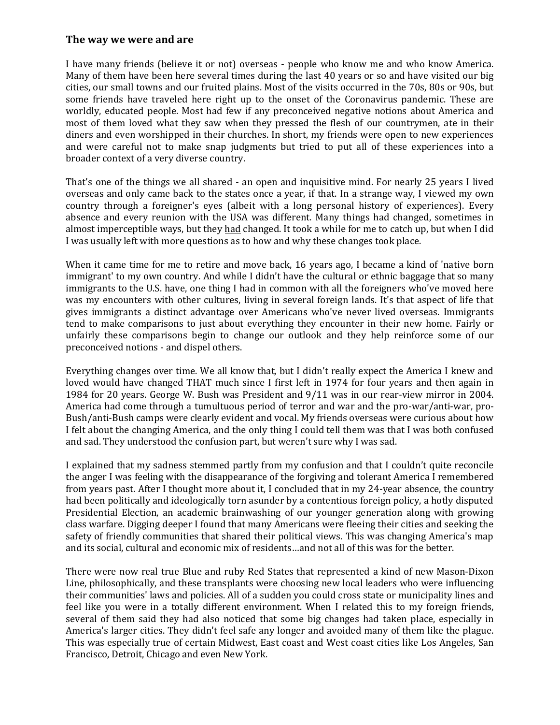## **The way we were and are**

I have many friends (believe it or not) overseas - people who know me and who know America. Many of them have been here several times during the last 40 years or so and have visited our big cities, our small towns and our fruited plains. Most of the visits occurred in the 70s, 80s or 90s, but some friends have traveled here right up to the onset of the Coronavirus pandemic. These are worldly, educated people. Most had few if any preconceived negative notions about America and most of them loved what they saw when they pressed the flesh of our countrymen, ate in their diners and even worshipped in their churches. In short, my friends were open to new experiences and were careful not to make snap judgments but tried to put all of these experiences into a broader context of a very diverse country.

That's one of the things we all shared - an open and inquisitive mind. For nearly 25 years I lived overseas and only came back to the states once a year, if that. In a strange way, I viewed my own country through a foreigner's eyes (albeit with a long personal history of experiences). Every absence and every reunion with the USA was different. Many things had changed, sometimes in almost imperceptible ways, but they had changed. It took a while for me to catch up, but when I did I was usually left with more questions as to how and why these changes took place.

When it came time for me to retire and move back, 16 years ago, I became a kind of 'native born immigrant' to my own country. And while I didn't have the cultural or ethnic baggage that so many immigrants to the U.S. have, one thing I had in common with all the foreigners who've moved here was my encounters with other cultures, living in several foreign lands. It's that aspect of life that gives immigrants a distinct advantage over Americans who've never lived overseas. Immigrants tend to make comparisons to just about everything they encounter in their new home. Fairly or unfairly these comparisons begin to change our outlook and they help reinforce some of our preconceived notions - and dispel others.

Everything changes over time. We all know that, but I didn't really expect the America I knew and loved would have changed THAT much since I first left in 1974 for four years and then again in 1984 for 20 years. George W. Bush was President and 9/11 was in our rear-view mirror in 2004. America had come through a tumultuous period of terror and war and the pro-war/anti-war, pro-Bush/anti-Bush camps were clearly evident and vocal. My friends overseas were curious about how I felt about the changing America, and the only thing I could tell them was that I was both confused and sad. They understood the confusion part, but weren't sure why I was sad.

I explained that my sadness stemmed partly from my confusion and that I couldn't quite reconcile the anger I was feeling with the disappearance of the forgiving and tolerant America I remembered from years past. After I thought more about it, I concluded that in my 24-year absence, the country had been politically and ideologically torn asunder by a contentious foreign policy, a hotly disputed Presidential Election, an academic brainwashing of our younger generation along with growing class warfare. Digging deeper I found that many Americans were fleeing their cities and seeking the safety of friendly communities that shared their political views. This was changing America's map and its social, cultural and economic mix of residents…and not all of this was for the better.

There were now real true Blue and ruby Red States that represented a kind of new Mason-Dixon Line, philosophically, and these transplants were choosing new local leaders who were influencing their communities' laws and policies. All of a sudden you could cross state or municipality lines and feel like you were in a totally different environment. When I related this to my foreign friends, several of them said they had also noticed that some big changes had taken place, especially in America's larger cities. They didn't feel safe any longer and avoided many of them like the plague. This was especially true of certain Midwest, East coast and West coast cities like Los Angeles, San Francisco, Detroit, Chicago and even New York.